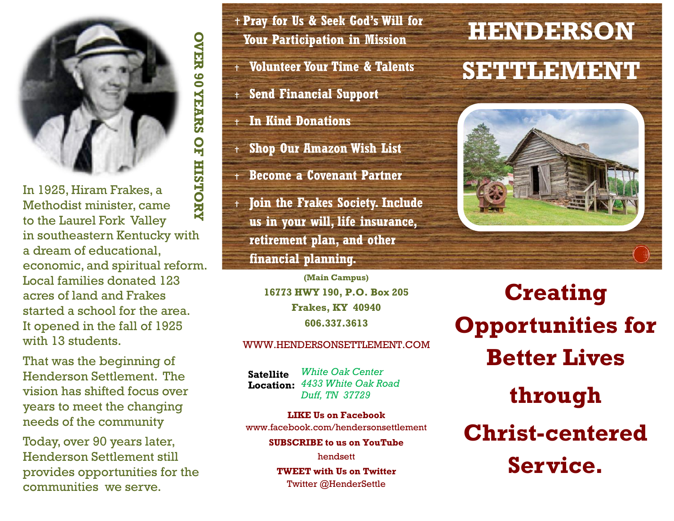

**OVER 90 YEARS OF HISTORY OVER 90 YEARS OF HISTORY** In 1925, Hiram Frakes, a Methodist minister, came to the Laurel Fork Valley in southeastern Kentucky with a dream of educational, economic, and spiritual reform. Local families donated 123 acres of land and Frakes started a school for the area. It opened in the fall of 1925 with 13 students.

That was the beginning of Henderson Settlement. The vision has shifted focus over years to meet the changing needs of the community

Today, over 90 years later, Henderson Settlement still provides opportunities for the communities we serve.

 **Pray for Us & Seek God's Will for Your Participation in Mission**

**Volunteer Your Time & Talents**

**Send Financial Support**

**In Kind Donations**

**Shop Our Amazon Wish List**

**Become a Covenant Partner**

 **Join the Frakes Society. Include us in your will, life insurance, retirement plan, and other financial planning.**

> **(Main Campus) 16773 HWY 190, P.O. Box 205 Frakes, KY 40940 606.337.3613**

#### WWW.HENDERSONSETTLEMENT.COM

*White Oak Center 4433 White Oak Road* **Location:***Duff, TN 37729* **Satellite** 

**LIKE Us on Facebook** www.facebook.com/hendersonsettlement **SUBSCRIBE to us on YouTube**

> hendsett **TWEET with Us on Twitter** Twitter @HenderSettle

# **HENDERSON**

## **SETTLEMENT**



**Creating Opportunities for Better Lives through Christ-centered Service.**